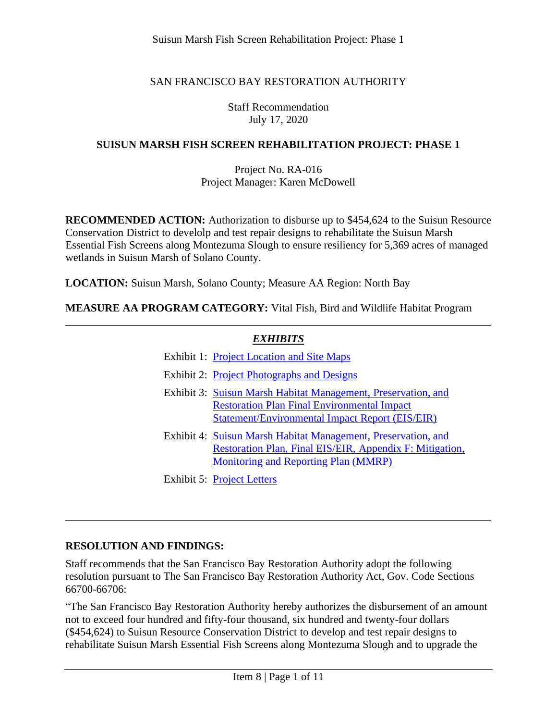Suisun Marsh Fish Screen Rehabilitation Project: Phase 1

# SAN FRANCISCO BAY RESTORATION AUTHORITY

Staff Recommendation July 17, 2020

#### **SUISUN MARSH FISH SCREEN REHABILITATION PROJECT: PHASE 1**

#### Project No. RA-016 Project Manager: Karen McDowell

**RECOMMENDED ACTION:** Authorization to disburse up to \$454,624 to the Suisun Resource Conservation District to develolp and test repair designs to rehabilitate the Suisun Marsh Essential Fish Screens along Montezuma Slough to ensure resiliency for 5,369 acres of managed wetlands in Suisun Marsh of Solano County.

**LOCATION:** Suisun Marsh, Solano County; Measure AA Region: North Bay

**MEASURE AA PROGRAM CATEGORY:** Vital Fish, Bird and Wildlife Habitat Program

## *EXHIBITS*

| <b>Exhibit 1: Project Location and Site Maps</b>                                                                                                                         |
|--------------------------------------------------------------------------------------------------------------------------------------------------------------------------|
| Exhibit 2: Project Photographs and Designs                                                                                                                               |
| Exhibit 3: Suisun Marsh Habitat Management, Preservation, and<br><b>Restoration Plan Final Environmental Impact</b><br>Statement/Environmental Impact Report (EIS/EIR)   |
| Exhibit 4: Suisun Marsh Habitat Management, Preservation, and<br>Restoration Plan, Final EIS/EIR, Appendix F: Mitigation,<br><b>Monitoring and Reporting Plan (MMRP)</b> |
| <b>Exhibit 5: Project Letters</b>                                                                                                                                        |

## **RESOLUTION AND FINDINGS:**

Staff recommends that the San Francisco Bay Restoration Authority adopt the following resolution pursuant to The San Francisco Bay Restoration Authority Act, Gov. Code Sections 66700-66706:

"The San Francisco Bay Restoration Authority hereby authorizes the disbursement of an amount not to exceed four hundred and fifty-four thousand, six hundred and twenty-four dollars (\$454,624) to Suisun Resource Conservation District to develop and test repair designs to rehabilitate Suisun Marsh Essential Fish Screens along Montezuma Slough and to upgrade the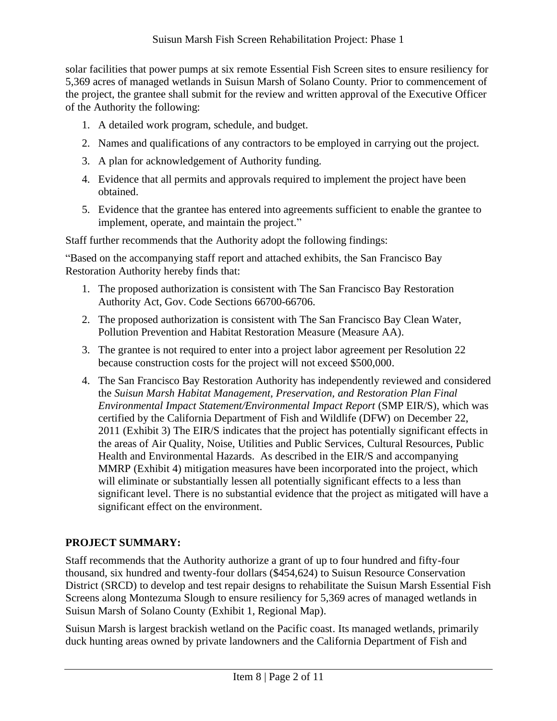solar facilities that power pumps at six remote Essential Fish Screen sites to ensure resiliency for 5,369 acres of managed wetlands in Suisun Marsh of Solano County. Prior to commencement of the project, the grantee shall submit for the review and written approval of the Executive Officer of the Authority the following:

- 1. A detailed work program, schedule, and budget.
- 2. Names and qualifications of any contractors to be employed in carrying out the project.
- 3. A plan for acknowledgement of Authority funding.
- 4. Evidence that all permits and approvals required to implement the project have been obtained.
- 5. Evidence that the grantee has entered into agreements sufficient to enable the grantee to implement, operate, and maintain the project."

Staff further recommends that the Authority adopt the following findings:

"Based on the accompanying staff report and attached exhibits, the San Francisco Bay Restoration Authority hereby finds that:

- 1. The proposed authorization is consistent with The San Francisco Bay Restoration Authority Act, Gov. Code Sections 66700-66706.
- 2. The proposed authorization is consistent with The San Francisco Bay Clean Water, Pollution Prevention and Habitat Restoration Measure (Measure AA).
- 3. The grantee is not required to enter into a project labor agreement per Resolution 22 because construction costs for the project will not exceed \$500,000.
- 4. The San Francisco Bay Restoration Authority has independently reviewed and considered the *Suisun Marsh Habitat Management, Preservation, and Restoration Plan Final Environmental Impact Statement/Environmental Impact Report* (SMP EIR/S), which was certified by the California Department of Fish and Wildlife (DFW) on December 22, 2011 (Exhibit 3) The EIR/S indicates that the project has potentially significant effects in the areas of Air Quality, Noise, Utilities and Public Services, Cultural Resources, Public Health and Environmental Hazards. As described in the EIR/S and accompanying MMRP (Exhibit 4) mitigation measures have been incorporated into the project, which will eliminate or substantially lessen all potentially significant effects to a less than significant level. There is no substantial evidence that the project as mitigated will have a significant effect on the environment.

# **PROJECT SUMMARY:**

Staff recommends that the Authority authorize a grant of up to four hundred and fifty-four thousand, six hundred and twenty-four dollars (\$454,624) to Suisun Resource Conservation District (SRCD) to develop and test repair designs to rehabilitate the Suisun Marsh Essential Fish Screens along Montezuma Slough to ensure resiliency for 5,369 acres of managed wetlands in Suisun Marsh of Solano County (Exhibit 1, Regional Map).

Suisun Marsh is largest brackish wetland on the Pacific coast. Its managed wetlands, primarily duck hunting areas owned by private landowners and the California Department of Fish and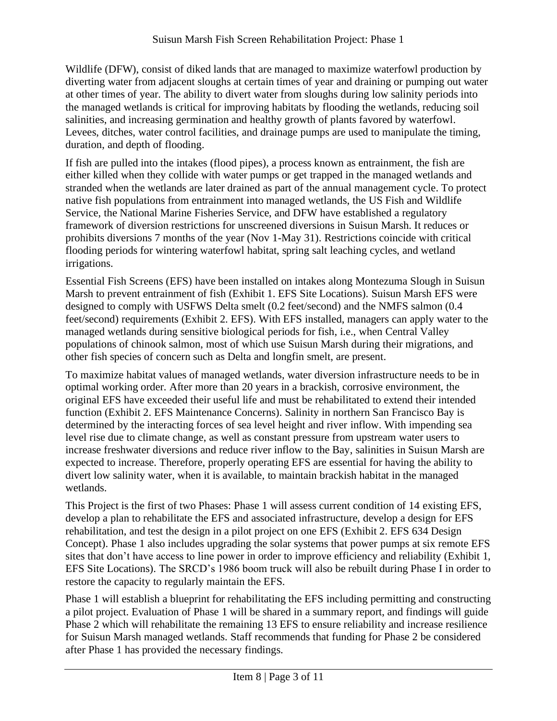Wildlife (DFW), consist of diked lands that are managed to maximize waterfowl production by diverting water from adjacent sloughs at certain times of year and draining or pumping out water at other times of year. The ability to divert water from sloughs during low salinity periods into the managed wetlands is critical for improving habitats by flooding the wetlands, reducing soil salinities, and increasing germination and healthy growth of plants favored by waterfowl. Levees, ditches, water control facilities, and drainage pumps are used to manipulate the timing, duration, and depth of flooding.

If fish are pulled into the intakes (flood pipes), a process known as entrainment, the fish are either killed when they collide with water pumps or get trapped in the managed wetlands and stranded when the wetlands are later drained as part of the annual management cycle. To protect native fish populations from entrainment into managed wetlands, the US Fish and Wildlife Service, the National Marine Fisheries Service, and DFW have established a regulatory framework of diversion restrictions for unscreened diversions in Suisun Marsh. It reduces or prohibits diversions 7 months of the year (Nov 1-May 31). Restrictions coincide with critical flooding periods for wintering waterfowl habitat, spring salt leaching cycles, and wetland irrigations.

Essential Fish Screens (EFS) have been installed on intakes along Montezuma Slough in Suisun Marsh to prevent entrainment of fish (Exhibit 1. EFS Site Locations). Suisun Marsh EFS were designed to comply with USFWS Delta smelt (0.2 feet/second) and the NMFS salmon (0.4 feet/second) requirements (Exhibit 2. EFS). With EFS installed, managers can apply water to the managed wetlands during sensitive biological periods for fish, i.e., when Central Valley populations of chinook salmon, most of which use Suisun Marsh during their migrations, and other fish species of concern such as Delta and longfin smelt, are present.

To maximize habitat values of managed wetlands, water diversion infrastructure needs to be in optimal working order. After more than 20 years in a brackish, corrosive environment, the original EFS have exceeded their useful life and must be rehabilitated to extend their intended function (Exhibit 2. EFS Maintenance Concerns). Salinity in northern San Francisco Bay is determined by the interacting forces of sea level height and river inflow. With impending sea level rise due to climate change, as well as constant pressure from upstream water users to increase freshwater diversions and reduce river inflow to the Bay, salinities in Suisun Marsh are expected to increase. Therefore, properly operating EFS are essential for having the ability to divert low salinity water, when it is available, to maintain brackish habitat in the managed wetlands.

This Project is the first of two Phases: Phase 1 will assess current condition of 14 existing EFS, develop a plan to rehabilitate the EFS and associated infrastructure, develop a design for EFS rehabilitation, and test the design in a pilot project on one EFS (Exhibit 2. EFS 634 Design Concept). Phase 1 also includes upgrading the solar systems that power pumps at six remote EFS sites that don't have access to line power in order to improve efficiency and reliability (Exhibit 1, EFS Site Locations). The SRCD's 1986 boom truck will also be rebuilt during Phase I in order to restore the capacity to regularly maintain the EFS.

Phase 1 will establish a blueprint for rehabilitating the EFS including permitting and constructing a pilot project. Evaluation of Phase 1 will be shared in a summary report, and findings will guide Phase 2 which will rehabilitate the remaining 13 EFS to ensure reliability and increase resilience for Suisun Marsh managed wetlands. Staff recommends that funding for Phase 2 be considered after Phase 1 has provided the necessary findings.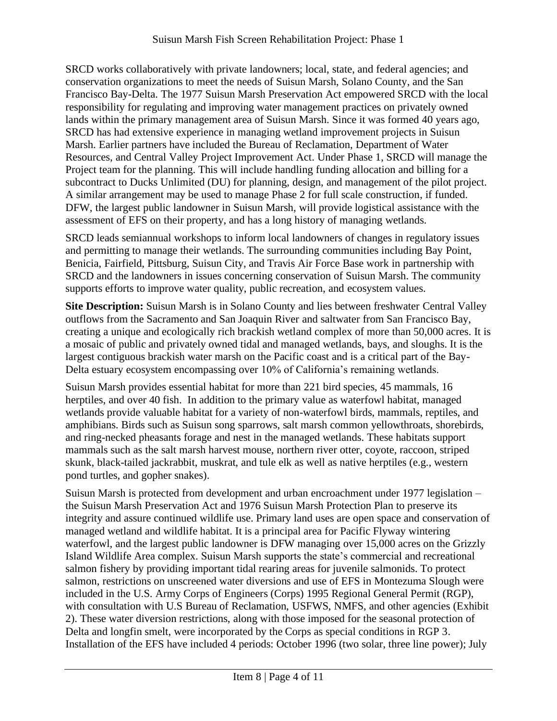SRCD works collaboratively with private landowners; local, state, and federal agencies; and conservation organizations to meet the needs of Suisun Marsh, Solano County, and the San Francisco Bay-Delta. The 1977 Suisun Marsh Preservation Act empowered SRCD with the local responsibility for regulating and improving water management practices on privately owned lands within the primary management area of Suisun Marsh. Since it was formed 40 years ago, SRCD has had extensive experience in managing wetland improvement projects in Suisun Marsh. Earlier partners have included the Bureau of Reclamation, Department of Water Resources, and Central Valley Project Improvement Act. Under Phase 1, SRCD will manage the Project team for the planning. This will include handling funding allocation and billing for a subcontract to Ducks Unlimited (DU) for planning, design, and management of the pilot project. A similar arrangement may be used to manage Phase 2 for full scale construction, if funded. DFW, the largest public landowner in Suisun Marsh, will provide logistical assistance with the assessment of EFS on their property, and has a long history of managing wetlands.

SRCD leads semiannual workshops to inform local landowners of changes in regulatory issues and permitting to manage their wetlands. The surrounding communities including Bay Point, Benicia, Fairfield, Pittsburg, Suisun City, and Travis Air Force Base work in partnership with SRCD and the landowners in issues concerning conservation of Suisun Marsh. The community supports efforts to improve water quality, public recreation, and ecosystem values.

**Site Description:** Suisun Marsh is in Solano County and lies between freshwater Central Valley outflows from the Sacramento and San Joaquin River and saltwater from San Francisco Bay, creating a unique and ecologically rich brackish wetland complex of more than 50,000 acres. It is a mosaic of public and privately owned tidal and managed wetlands, bays, and sloughs. It is the largest contiguous brackish water marsh on the Pacific coast and is a critical part of the Bay-Delta estuary ecosystem encompassing over 10% of California's remaining wetlands.

Suisun Marsh provides essential habitat for more than 221 bird species, 45 mammals, 16 herptiles, and over 40 fish. In addition to the primary value as waterfowl habitat, managed wetlands provide valuable habitat for a variety of non-waterfowl birds, mammals, reptiles, and amphibians. Birds such as Suisun song sparrows, salt marsh common yellowthroats, shorebirds, and ring-necked pheasants forage and nest in the managed wetlands. These habitats support mammals such as the salt marsh harvest mouse, northern river otter, coyote, raccoon, striped skunk, black-tailed jackrabbit, muskrat, and tule elk as well as native herptiles (e.g., western pond turtles, and gopher snakes).

Suisun Marsh is protected from development and urban encroachment under 1977 legislation – the Suisun Marsh Preservation Act and 1976 Suisun Marsh Protection Plan to preserve its integrity and assure continued wildlife use. Primary land uses are open space and conservation of managed wetland and wildlife habitat. It is a principal area for Pacific Flyway wintering waterfowl, and the largest public landowner is DFW managing over 15,000 acres on the Grizzly Island Wildlife Area complex. Suisun Marsh supports the state's commercial and recreational salmon fishery by providing important tidal rearing areas for juvenile salmonids. To protect salmon, restrictions on unscreened water diversions and use of EFS in Montezuma Slough were included in the U.S. Army Corps of Engineers (Corps) 1995 Regional General Permit (RGP), with consultation with U.S Bureau of Reclamation, USFWS, NMFS, and other agencies (Exhibit 2). These water diversion restrictions, along with those imposed for the seasonal protection of Delta and longfin smelt, were incorporated by the Corps as special conditions in RGP 3. Installation of the EFS have included 4 periods: October 1996 (two solar, three line power); July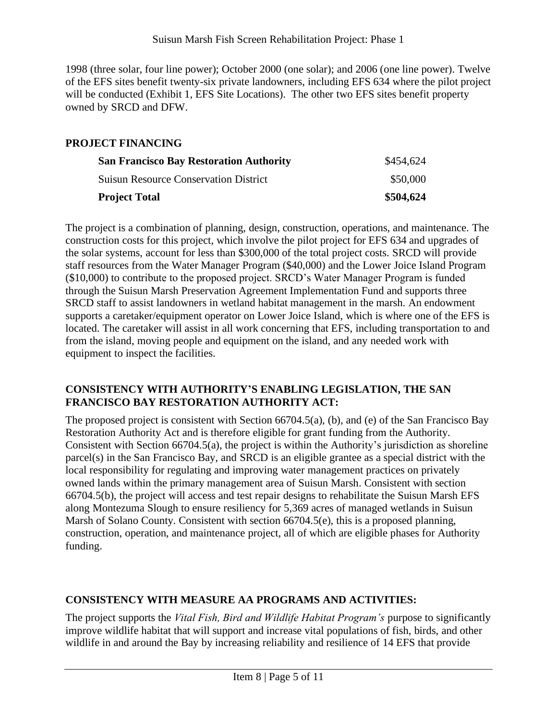1998 (three solar, four line power); October 2000 (one solar); and 2006 (one line power). Twelve of the EFS sites benefit twenty-six private landowners, including EFS 634 where the pilot project will be conducted (Exhibit 1, EFS Site Locations). The other two EFS sites benefit property owned by SRCD and DFW.

# **PROJECT FINANCING**

| <b>San Francisco Bay Restoration Authority</b> | \$454,624<br>\$50,000 |
|------------------------------------------------|-----------------------|
| <b>Suisun Resource Conservation District</b>   |                       |
| <b>Project Total</b>                           | \$504,624             |

The project is a combination of planning, design, construction, operations, and maintenance. The construction costs for this project, which involve the pilot project for EFS 634 and upgrades of the solar systems, account for less than \$300,000 of the total project costs. SRCD will provide staff resources from the Water Manager Program (\$40,000) and the Lower Joice Island Program (\$10,000) to contribute to the proposed project. SRCD's Water Manager Program is funded through the Suisun Marsh Preservation Agreement Implementation Fund and supports three SRCD staff to assist landowners in wetland habitat management in the marsh. An endowment supports a caretaker/equipment operator on Lower Joice Island, which is where one of the EFS is located. The caretaker will assist in all work concerning that EFS, including transportation to and from the island, moving people and equipment on the island, and any needed work with equipment to inspect the facilities.

#### **CONSISTENCY WITH AUTHORITY'S ENABLING LEGISLATION, THE SAN FRANCISCO BAY RESTORATION AUTHORITY ACT:**

The proposed project is consistent with Section 66704.5(a), (b), and (e) of the San Francisco Bay Restoration Authority Act and is therefore eligible for grant funding from the Authority. Consistent with Section 66704.5(a), the project is within the Authority's jurisdiction as shoreline parcel(s) in the San Francisco Bay, and SRCD is an eligible grantee as a special district with the local responsibility for regulating and improving water management practices on privately owned lands within the primary management area of Suisun Marsh. Consistent with section 66704.5(b), the project will access and test repair designs to rehabilitate the Suisun Marsh EFS along Montezuma Slough to ensure resiliency for 5,369 acres of managed wetlands in Suisun Marsh of Solano County. Consistent with section 66704.5(e), this is a proposed planning, construction, operation, and maintenance project, all of which are eligible phases for Authority funding.

## **CONSISTENCY WITH MEASURE AA PROGRAMS AND ACTIVITIES:**

The project supports the *Vital Fish, Bird and Wildlife Habitat Program's* purpose to significantly improve wildlife habitat that will support and increase vital populations of fish, birds, and other wildlife in and around the Bay by increasing reliability and resilience of 14 EFS that provide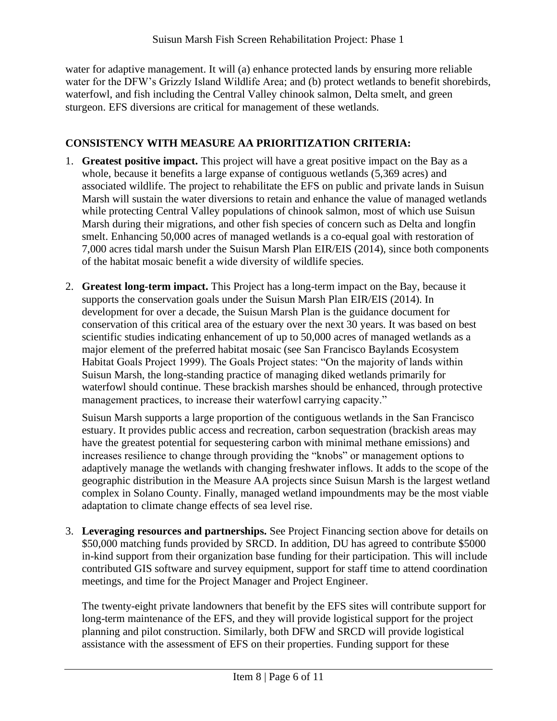water for adaptive management. It will (a) enhance protected lands by ensuring more reliable water for the DFW's Grizzly Island Wildlife Area; and (b) protect wetlands to benefit shorebirds, waterfowl, and fish including the Central Valley chinook salmon, Delta smelt, and green sturgeon. EFS diversions are critical for management of these wetlands.

# **CONSISTENCY WITH MEASURE AA PRIORITIZATION CRITERIA:**

- 1. **Greatest positive impact.** This project will have a great positive impact on the Bay as a whole, because it benefits a large expanse of contiguous wetlands (5,369 acres) and associated wildlife. The project to rehabilitate the EFS on public and private lands in Suisun Marsh will sustain the water diversions to retain and enhance the value of managed wetlands while protecting Central Valley populations of chinook salmon, most of which use Suisun Marsh during their migrations, and other fish species of concern such as Delta and longfin smelt. Enhancing 50,000 acres of managed wetlands is a co-equal goal with restoration of 7,000 acres tidal marsh under the Suisun Marsh Plan EIR/EIS (2014), since both components of the habitat mosaic benefit a wide diversity of wildlife species.
- 2. **Greatest long-term impact.** This Project has a long-term impact on the Bay, because it supports the conservation goals under the Suisun Marsh Plan EIR/EIS (2014). In development for over a decade, the Suisun Marsh Plan is the guidance document for conservation of this critical area of the estuary over the next 30 years. It was based on best scientific studies indicating enhancement of up to 50,000 acres of managed wetlands as a major element of the preferred habitat mosaic (see San Francisco Baylands Ecosystem Habitat Goals Project 1999). The Goals Project states: "On the majority of lands within Suisun Marsh, the long-standing practice of managing diked wetlands primarily for waterfowl should continue. These brackish marshes should be enhanced, through protective management practices, to increase their waterfowl carrying capacity."

Suisun Marsh supports a large proportion of the contiguous wetlands in the San Francisco estuary. It provides public access and recreation, carbon sequestration (brackish areas may have the greatest potential for sequestering carbon with minimal methane emissions) and increases resilience to change through providing the "knobs" or management options to adaptively manage the wetlands with changing freshwater inflows. It adds to the scope of the geographic distribution in the Measure AA projects since Suisun Marsh is the largest wetland complex in Solano County. Finally, managed wetland impoundments may be the most viable adaptation to climate change effects of sea level rise.

3. **Leveraging resources and partnerships.** See Project Financing section above for details on \$50,000 matching funds provided by SRCD. In addition, DU has agreed to contribute \$5000 in-kind support from their organization base funding for their participation. This will include contributed GIS software and survey equipment, support for staff time to attend coordination meetings, and time for the Project Manager and Project Engineer.

The twenty-eight private landowners that benefit by the EFS sites will contribute support for long-term maintenance of the EFS, and they will provide logistical support for the project planning and pilot construction. Similarly, both DFW and SRCD will provide logistical assistance with the assessment of EFS on their properties. Funding support for these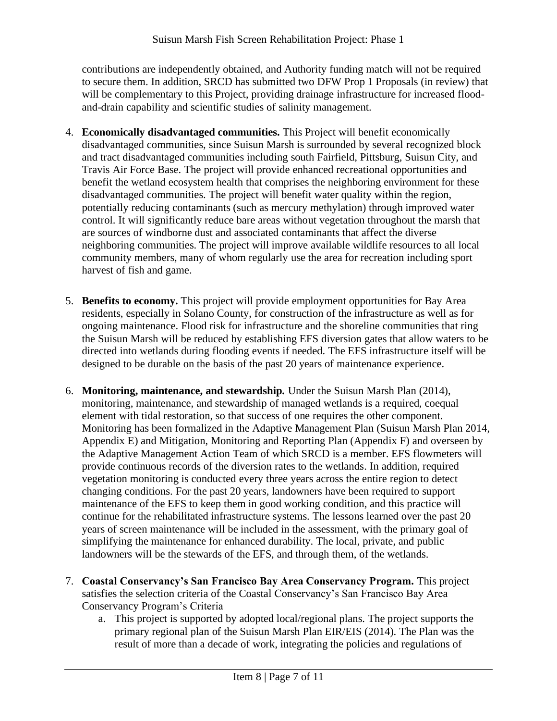contributions are independently obtained, and Authority funding match will not be required to secure them. In addition, SRCD has submitted two DFW Prop 1 Proposals (in review) that will be complementary to this Project, providing drainage infrastructure for increased floodand-drain capability and scientific studies of salinity management.

- 4. **Economically disadvantaged communities.** This Project will benefit economically disadvantaged communities, since Suisun Marsh is surrounded by several recognized block and tract disadvantaged communities including south Fairfield, Pittsburg, Suisun City, and Travis Air Force Base. The project will provide enhanced recreational opportunities and benefit the wetland ecosystem health that comprises the neighboring environment for these disadvantaged communities. The project will benefit water quality within the region, potentially reducing contaminants (such as mercury methylation) through improved water control. It will significantly reduce bare areas without vegetation throughout the marsh that are sources of windborne dust and associated contaminants that affect the diverse neighboring communities. The project will improve available wildlife resources to all local community members, many of whom regularly use the area for recreation including sport harvest of fish and game.
- 5. **Benefits to economy.** This project will provide employment opportunities for Bay Area residents, especially in Solano County, for construction of the infrastructure as well as for ongoing maintenance. Flood risk for infrastructure and the shoreline communities that ring the Suisun Marsh will be reduced by establishing EFS diversion gates that allow waters to be directed into wetlands during flooding events if needed. The EFS infrastructure itself will be designed to be durable on the basis of the past 20 years of maintenance experience.
- 6. **Monitoring, maintenance, and stewardship.** Under the Suisun Marsh Plan (2014), monitoring, maintenance, and stewardship of managed wetlands is a required, coequal element with tidal restoration, so that success of one requires the other component. Monitoring has been formalized in the Adaptive Management Plan (Suisun Marsh Plan 2014, Appendix E) and Mitigation, Monitoring and Reporting Plan (Appendix F) and overseen by the Adaptive Management Action Team of which SRCD is a member. EFS flowmeters will provide continuous records of the diversion rates to the wetlands. In addition, required vegetation monitoring is conducted every three years across the entire region to detect changing conditions. For the past 20 years, landowners have been required to support maintenance of the EFS to keep them in good working condition, and this practice will continue for the rehabilitated infrastructure systems. The lessons learned over the past 20 years of screen maintenance will be included in the assessment, with the primary goal of simplifying the maintenance for enhanced durability. The local, private, and public landowners will be the stewards of the EFS, and through them, of the wetlands.
- 7. **Coastal Conservancy's San Francisco Bay Area Conservancy Program.** This project satisfies the selection criteria of the Coastal Conservancy's San Francisco Bay Area Conservancy Program's Criteria
	- a. This project is supported by adopted local/regional plans. The project supports the primary regional plan of the Suisun Marsh Plan EIR/EIS (2014). The Plan was the result of more than a decade of work, integrating the policies and regulations of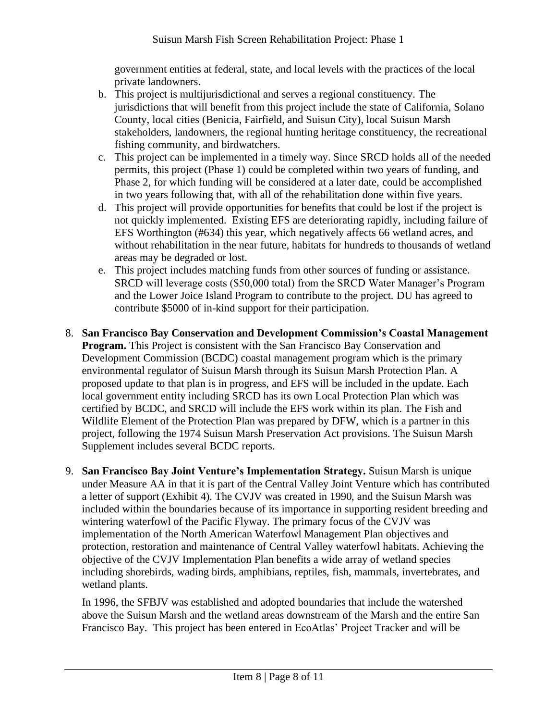government entities at federal, state, and local levels with the practices of the local private landowners.

- b. This project is multijurisdictional and serves a regional constituency. The jurisdictions that will benefit from this project include the state of California, Solano County, local cities (Benicia, Fairfield, and Suisun City), local Suisun Marsh stakeholders, landowners, the regional hunting heritage constituency, the recreational fishing community, and birdwatchers.
- c. This project can be implemented in a timely way. Since SRCD holds all of the needed permits, this project (Phase 1) could be completed within two years of funding, and Phase 2, for which funding will be considered at a later date, could be accomplished in two years following that, with all of the rehabilitation done within five years.
- d. This project will provide opportunities for benefits that could be lost if the project is not quickly implemented. Existing EFS are deteriorating rapidly, including failure of EFS Worthington (#634) this year, which negatively affects 66 wetland acres, and without rehabilitation in the near future, habitats for hundreds to thousands of wetland areas may be degraded or lost.
- e. This project includes matching funds from other sources of funding or assistance. SRCD will leverage costs (\$50,000 total) from the SRCD Water Manager's Program and the Lower Joice Island Program to contribute to the project. DU has agreed to contribute \$5000 of in-kind support for their participation.
- 8. **San Francisco Bay Conservation and Development Commission's Coastal Management Program.** This Project is consistent with the San Francisco Bay Conservation and Development Commission (BCDC) coastal management program which is the primary environmental regulator of Suisun Marsh through its Suisun Marsh Protection Plan. A proposed update to that plan is in progress, and EFS will be included in the update. Each local government entity including SRCD has its own Local Protection Plan which was certified by BCDC, and SRCD will include the EFS work within its plan. The Fish and Wildlife Element of the Protection Plan was prepared by DFW, which is a partner in this project, following the 1974 Suisun Marsh Preservation Act provisions. The Suisun Marsh Supplement includes several BCDC reports.
- 9. **San Francisco Bay Joint Venture's Implementation Strategy.** Suisun Marsh is unique under Measure AA in that it is part of the Central Valley Joint Venture which has contributed a letter of support (Exhibit 4). The CVJV was created in 1990, and the Suisun Marsh was included within the boundaries because of its importance in supporting resident breeding and wintering waterfowl of the Pacific Flyway. The primary focus of the CVJV was implementation of the North American Waterfowl Management Plan objectives and protection, restoration and maintenance of Central Valley waterfowl habitats. Achieving the objective of the CVJV Implementation Plan benefits a wide array of wetland species including shorebirds, wading birds, amphibians, reptiles, fish, mammals, invertebrates, and wetland plants.

In 1996, the SFBJV was established and adopted boundaries that include the watershed above the Suisun Marsh and the wetland areas downstream of the Marsh and the entire San Francisco Bay. This project has been entered in EcoAtlas' Project Tracker and will be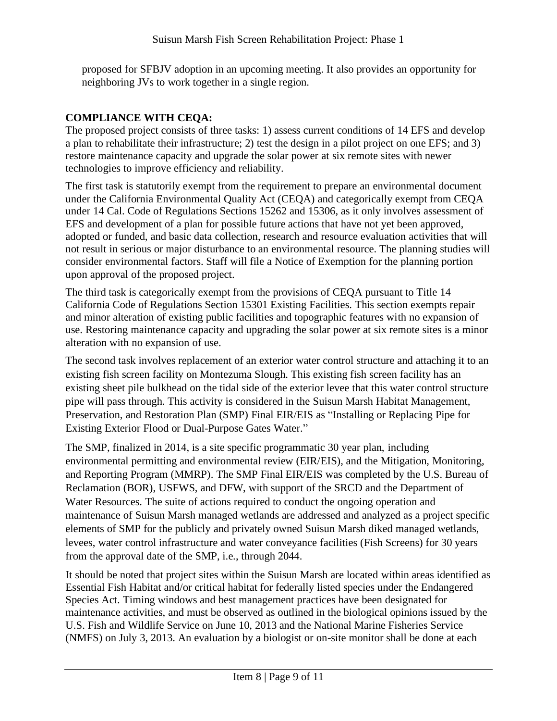proposed for SFBJV adoption in an upcoming meeting. It also provides an opportunity for neighboring JVs to work together in a single region.

# **COMPLIANCE WITH CEQA:**

The proposed project consists of three tasks: 1) assess current conditions of 14 EFS and develop a plan to rehabilitate their infrastructure; 2) test the design in a pilot project on one EFS; and 3) restore maintenance capacity and upgrade the solar power at six remote sites with newer technologies to improve efficiency and reliability.

The first task is statutorily exempt from the requirement to prepare an environmental document under the California Environmental Quality Act (CEQA) and categorically exempt from CEQA under 14 Cal. Code of Regulations Sections 15262 and 15306, as it only involves assessment of EFS and development of a plan for possible future actions that have not yet been approved, adopted or funded, and basic data collection, research and resource evaluation activities that will not result in serious or major disturbance to an environmental resource. The planning studies will consider environmental factors. Staff will file a Notice of Exemption for the planning portion upon approval of the proposed project.

The third task is categorically exempt from the provisions of CEQA pursuant to Title 14 California Code of Regulations Section 15301 Existing Facilities. This section exempts repair and minor alteration of existing public facilities and topographic features with no expansion of use. Restoring maintenance capacity and upgrading the solar power at six remote sites is a minor alteration with no expansion of use.

The second task involves replacement of an exterior water control structure and attaching it to an existing fish screen facility on Montezuma Slough. This existing fish screen facility has an existing sheet pile bulkhead on the tidal side of the exterior levee that this water control structure pipe will pass through. This activity is considered in the Suisun Marsh Habitat Management, Preservation, and Restoration Plan (SMP) Final EIR/EIS as "Installing or Replacing Pipe for Existing Exterior Flood or Dual-Purpose Gates Water."

The SMP, finalized in 2014, is a site specific programmatic 30 year plan, including environmental permitting and environmental review (EIR/EIS), and the Mitigation, Monitoring, and Reporting Program (MMRP). The SMP Final EIR/EIS was completed by the U.S. Bureau of Reclamation (BOR), USFWS, and DFW, with support of the SRCD and the Department of Water Resources. The suite of actions required to conduct the ongoing operation and maintenance of Suisun Marsh managed wetlands are addressed and analyzed as a project specific elements of SMP for the publicly and privately owned Suisun Marsh diked managed wetlands, levees, water control infrastructure and water conveyance facilities (Fish Screens) for 30 years from the approval date of the SMP, i.e., through 2044.

It should be noted that project sites within the Suisun Marsh are located within areas identified as Essential Fish Habitat and/or critical habitat for federally listed species under the Endangered Species Act. Timing windows and best management practices have been designated for maintenance activities, and must be observed as outlined in the biological opinions issued by the U.S. Fish and Wildlife Service on June 10, 2013 and the National Marine Fisheries Service (NMFS) on July 3, 2013. An evaluation by a biologist or on-site monitor shall be done at each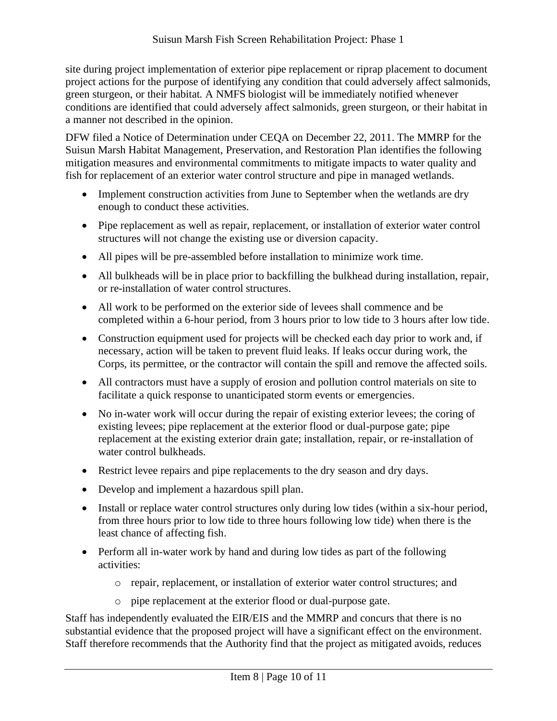site during project implementation of exterior pipe replacement or riprap placement to document project actions for the purpose of identifying any condition that could adversely affect salmonids, green sturgeon, or their habitat. A NMFS biologist will be immediately notified whenever conditions are identified that could adversely affect salmonids, green sturgeon, or their habitat in a manner not described in the opinion.

DFW filed a Notice of Determination under CEQA on December 22, 2011. The MMRP for the Suisun Marsh Habitat Management, Preservation, and Restoration Plan identifies the following mitigation measures and environmental commitments to mitigate impacts to water quality and fish for replacement of an exterior water control structure and pipe in managed wetlands.

- Implement construction activities from June to September when the wetlands are dry enough to conduct these activities.
- Pipe replacement as well as repair, replacement, or installation of exterior water control structures will not change the existing use or diversion capacity.
- All pipes will be pre-assembled before installation to minimize work time.
- All bulkheads will be in place prior to backfilling the bulkhead during installation, repair, or re-installation of water control structures.
- All work to be performed on the exterior side of levees shall commence and be completed within a 6-hour period, from 3 hours prior to low tide to 3 hours after low tide.
- Construction equipment used for projects will be checked each day prior to work and, if necessary, action will be taken to prevent fluid leaks. If leaks occur during work, the Corps, its permittee, or the contractor will contain the spill and remove the affected soils.
- All contractors must have a supply of erosion and pollution control materials on site to facilitate a quick response to unanticipated storm events or emergencies.
- No in-water work will occur during the repair of existing exterior levees; the coring of existing levees; pipe replacement at the exterior flood or dual-purpose gate; pipe replacement at the existing exterior drain gate; installation, repair, or re-installation of water control bulkheads.
- Restrict levee repairs and pipe replacements to the dry season and dry days.
- Develop and implement a hazardous spill plan.
- Install or replace water control structures only during low tides (within a six-hour period, from three hours prior to low tide to three hours following low tide) when there is the least chance of affecting fish.
- Perform all in-water work by hand and during low tides as part of the following activities:
	- o repair, replacement, or installation of exterior water control structures; and
	- o pipe replacement at the exterior flood or dual-purpose gate.

Staff has independently evaluated the EIR/EIS and the MMRP and concurs that there is no substantial evidence that the proposed project will have a significant effect on the environment. Staff therefore recommends that the Authority find that the project as mitigated avoids, reduces